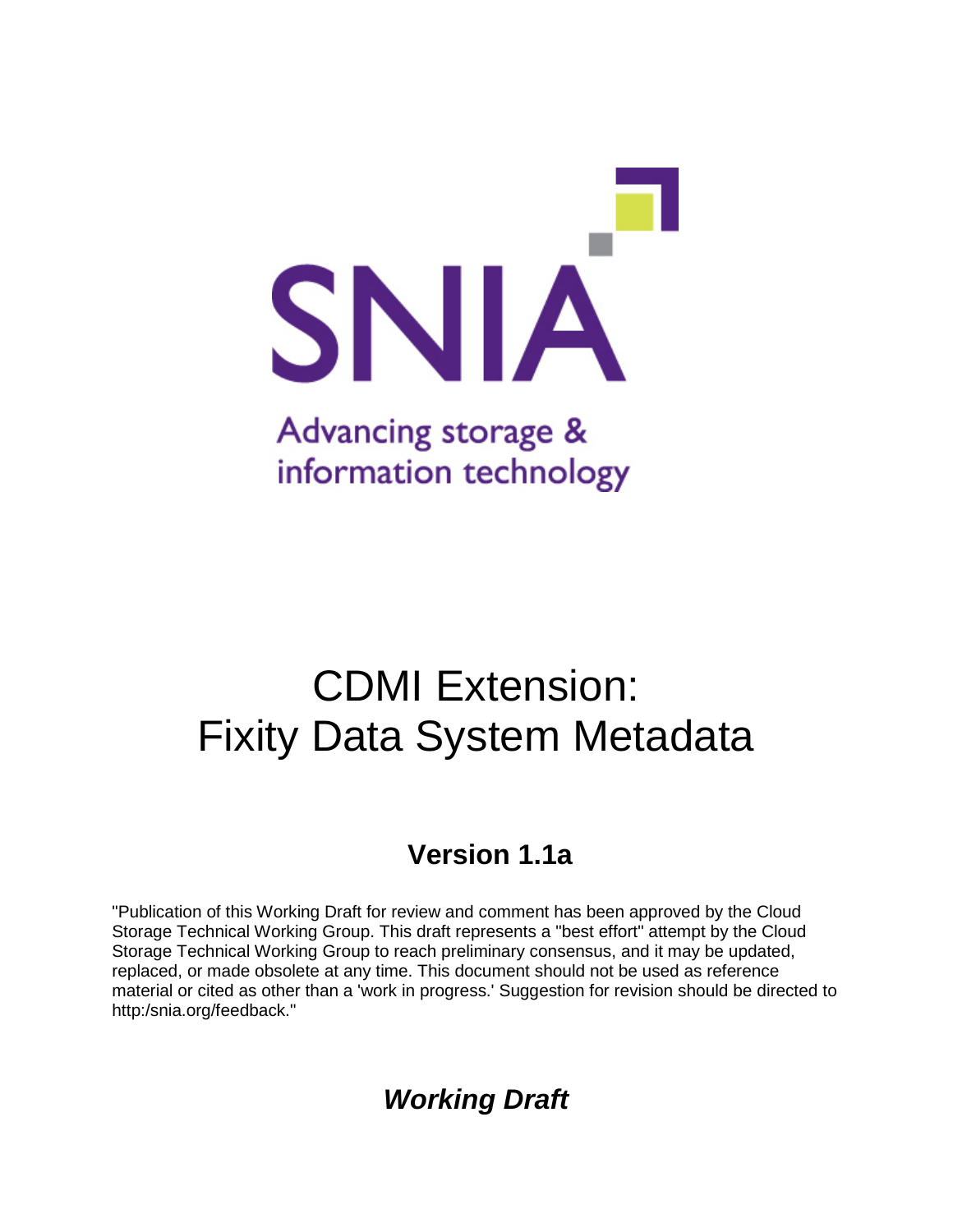

# CDMI Extension: Fixity Data System Metadata

### **Version 1.1a**

"Publication of this Working Draft for review and comment has been approved by the Cloud Storage Technical Working Group. This draft represents a "best effort" attempt by the Cloud Storage Technical Working Group to reach preliminary consensus, and it may be updated, replaced, or made obsolete at any time. This document should not be used as reference material or cited as other than a 'work in progress.' Suggestion for revision should be directed to http:/snia.org/feedback."

### *Working Draft*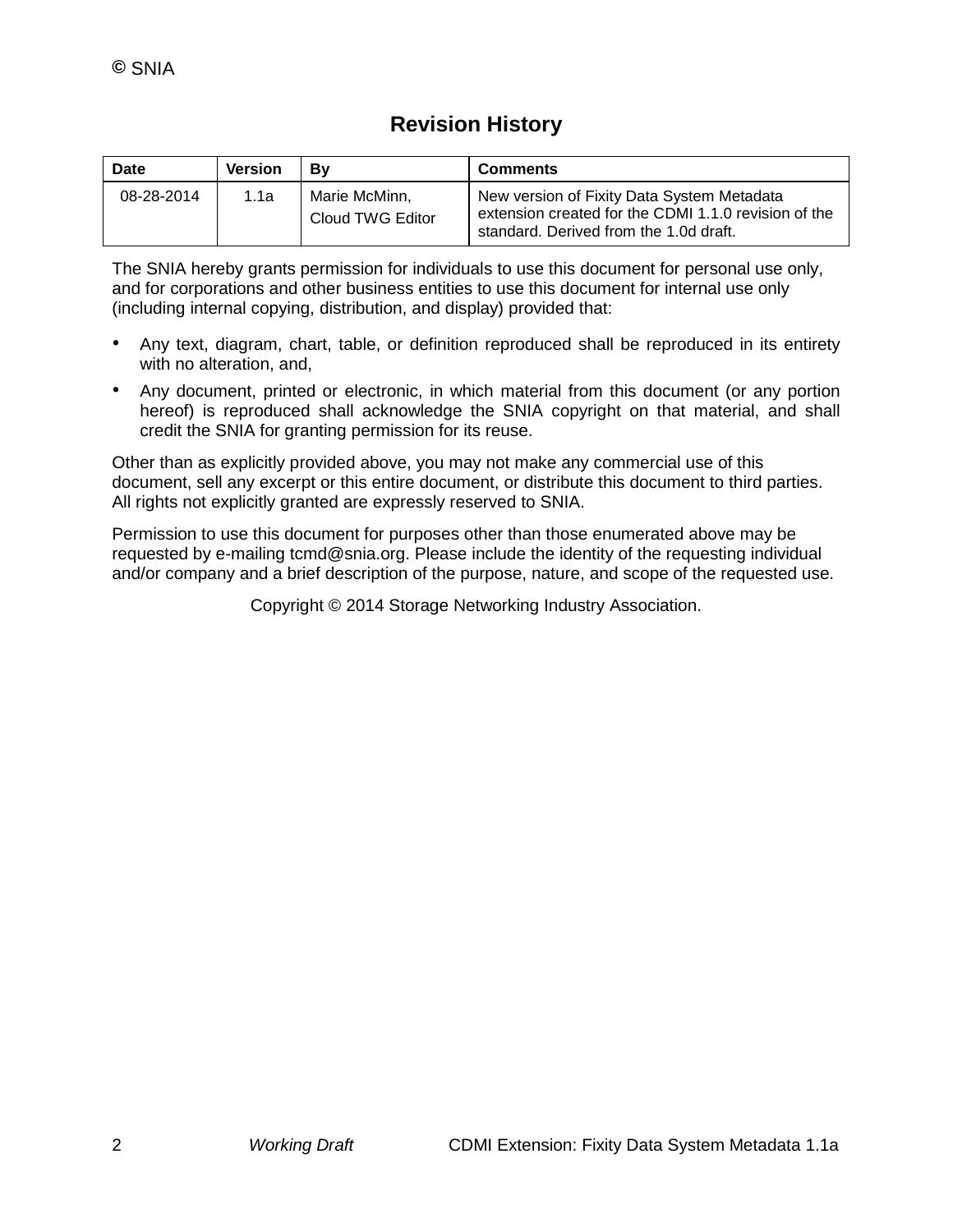### **Revision History**

| Date       | <b>Version</b> | Bv                                | <b>Comments</b>                                                                                                                              |
|------------|----------------|-----------------------------------|----------------------------------------------------------------------------------------------------------------------------------------------|
| 08-28-2014 | 1.1a           | Marie McMinn.<br>Cloud TWG Editor | New version of Fixity Data System Metadata<br>extension created for the CDMI 1.1.0 revision of the<br>standard. Derived from the 1.0d draft. |

The SNIA hereby grants permission for individuals to use this document for personal use only, and for corporations and other business entities to use this document for internal use only (including internal copying, distribution, and display) provided that:

- Any text, diagram, chart, table, or definition reproduced shall be reproduced in its entirety with no alteration, and,
- Any document, printed or electronic, in which material from this document (or any portion hereof) is reproduced shall acknowledge the SNIA copyright on that material, and shall credit the SNIA for granting permission for its reuse.

Other than as explicitly provided above, you may not make any commercial use of this document, sell any excerpt or this entire document, or distribute this document to third parties. All rights not explicitly granted are expressly reserved to SNIA.

Permission to use this document for purposes other than those enumerated above may be requested by e-mailing tcmd@snia.org. Please include the identity of the requesting individual and/or company and a brief description of the purpose, nature, and scope of the requested use.

Copyright © 2014 Storage Networking Industry Association.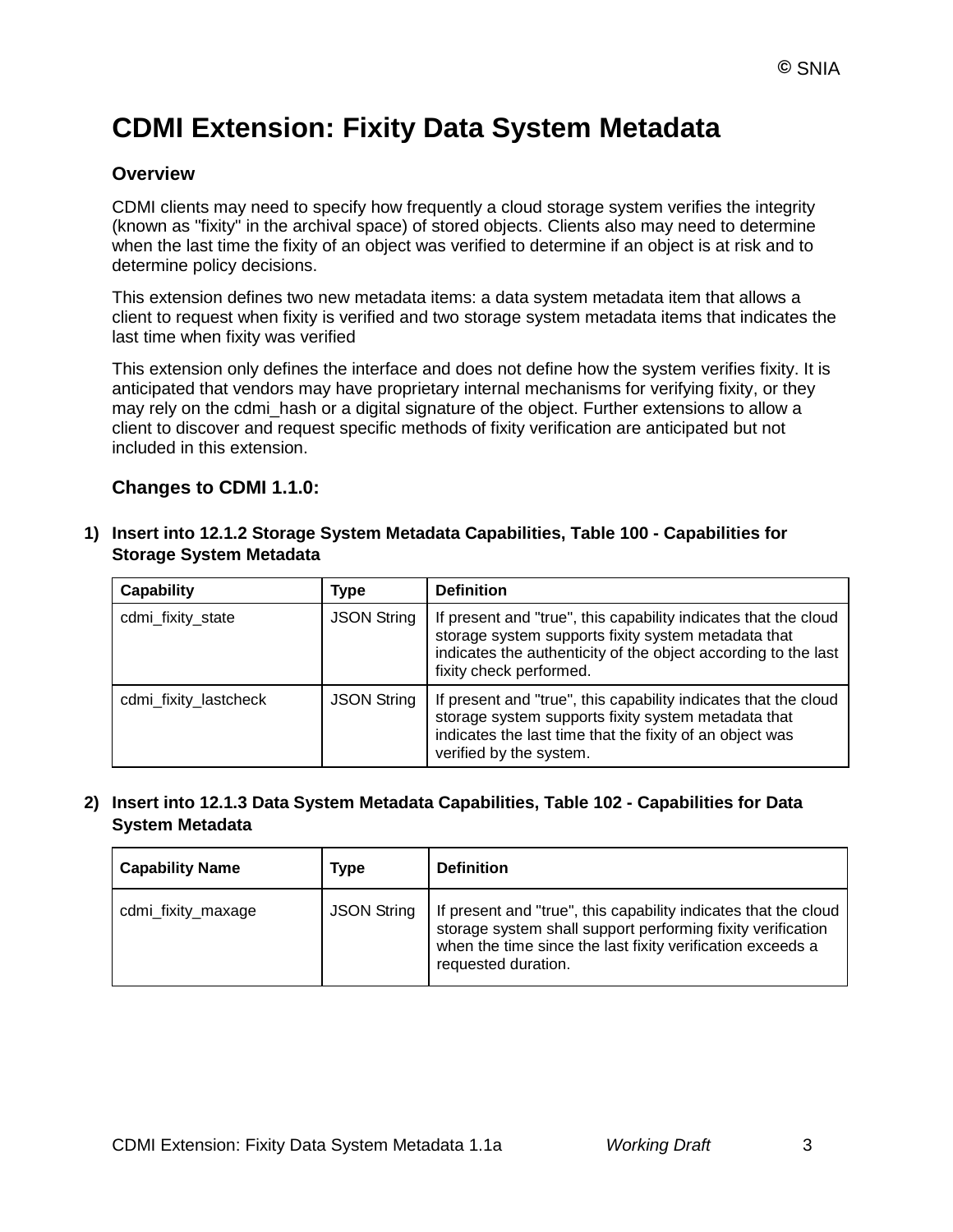## **CDMI Extension: Fixity Data System Metadata**

#### **Overview**

CDMI clients may need to specify how frequently a cloud storage system verifies the integrity (known as "fixity" in the archival space) of stored objects. Clients also may need to determine when the last time the fixity of an object was verified to determine if an object is at risk and to determine policy decisions.

This extension defines two new metadata items: a data system metadata item that allows a client to request when fixity is verified and two storage system metadata items that indicates the last time when fixity was verified

This extension only defines the interface and does not define how the system verifies fixity. It is anticipated that vendors may have proprietary internal mechanisms for verifying fixity, or they may rely on the cdmi\_hash or a digital signature of the object. Further extensions to allow a client to discover and request specific methods of fixity verification are anticipated but not included in this extension.

#### **Changes to CDMI 1.1.0:**

#### **1) Insert into 12.1.2 Storage System Metadata Capabilities, Table 100 - Capabilities for Storage System Metadata**

| <b>Capability</b>     | Type               | <b>Definition</b>                                                                                                                                                                                                   |
|-----------------------|--------------------|---------------------------------------------------------------------------------------------------------------------------------------------------------------------------------------------------------------------|
| cdmi_fixity_state     | <b>JSON String</b> | If present and "true", this capability indicates that the cloud<br>storage system supports fixity system metadata that<br>indicates the authenticity of the object according to the last<br>fixity check performed. |
| cdmi_fixity_lastcheck | <b>JSON String</b> | If present and "true", this capability indicates that the cloud<br>storage system supports fixity system metadata that<br>indicates the last time that the fixity of an object was<br>verified by the system.       |

#### **2) Insert into 12.1.3 Data System Metadata Capabilities, Table 102 - Capabilities for Data System Metadata**

| <b>Capability Name</b> | Type               | <b>Definition</b>                                                                                                                                                                                                   |
|------------------------|--------------------|---------------------------------------------------------------------------------------------------------------------------------------------------------------------------------------------------------------------|
| cdmi_fixity_maxage     | <b>JSON String</b> | If present and "true", this capability indicates that the cloud<br>storage system shall support performing fixity verification<br>when the time since the last fixity verification exceeds a<br>requested duration. |